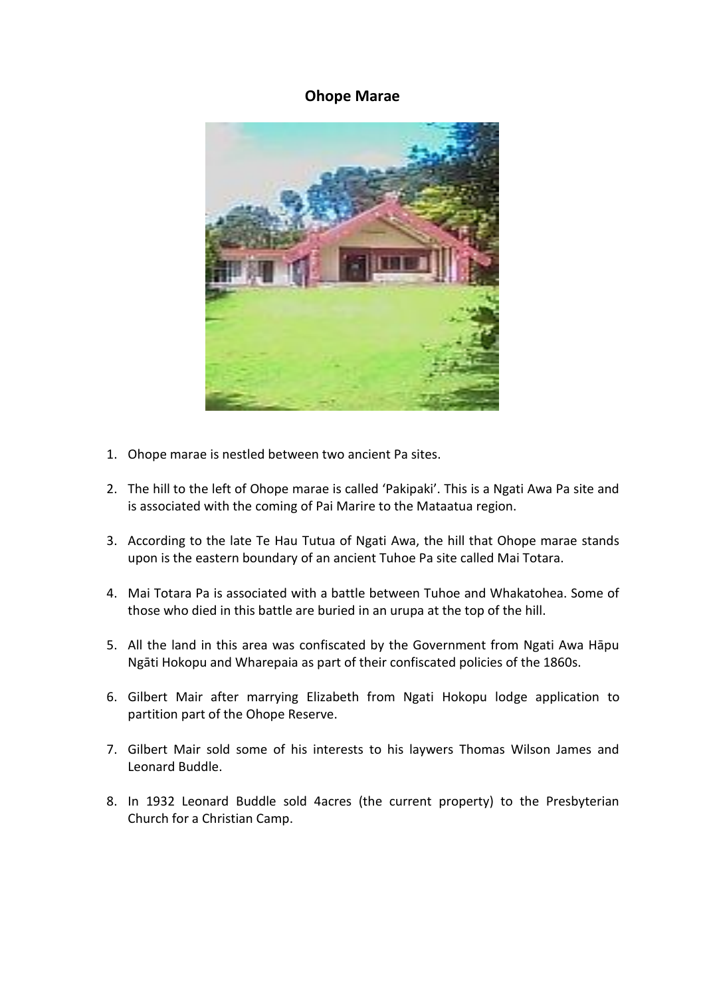## **Ohope Marae**



- 1. Ohope marae is nestled between two ancient Pa sites.
- 2. The hill to the left of Ohope marae is called 'Pakipaki'. This is a Ngati Awa Pa site and is associated with the coming of Pai Marire to the Mataatua region.
- 3. According to the late Te Hau Tutua of Ngati Awa, the hill that Ohope marae stands upon is the eastern boundary of an ancient Tuhoe Pa site called Mai Totara.
- 4. Mai Totara Pa is associated with a battle between Tuhoe and Whakatohea. Some of those who died in this battle are buried in an urupa at the top of the hill.
- 5. All the land in this area was confiscated by the Government from Ngati Awa Hāpu Ngāti Hokopu and Wharepaia as part of their confiscated policies of the 1860s.
- 6. Gilbert Mair after marrying Elizabeth from Ngati Hokopu lodge application to partition part of the Ohope Reserve.
- 7. Gilbert Mair sold some of his interests to his laywers Thomas Wilson James and Leonard Buddle.
- 8. In 1932 Leonard Buddle sold 4acres (the current property) to the Presbyterian Church for a Christian Camp.